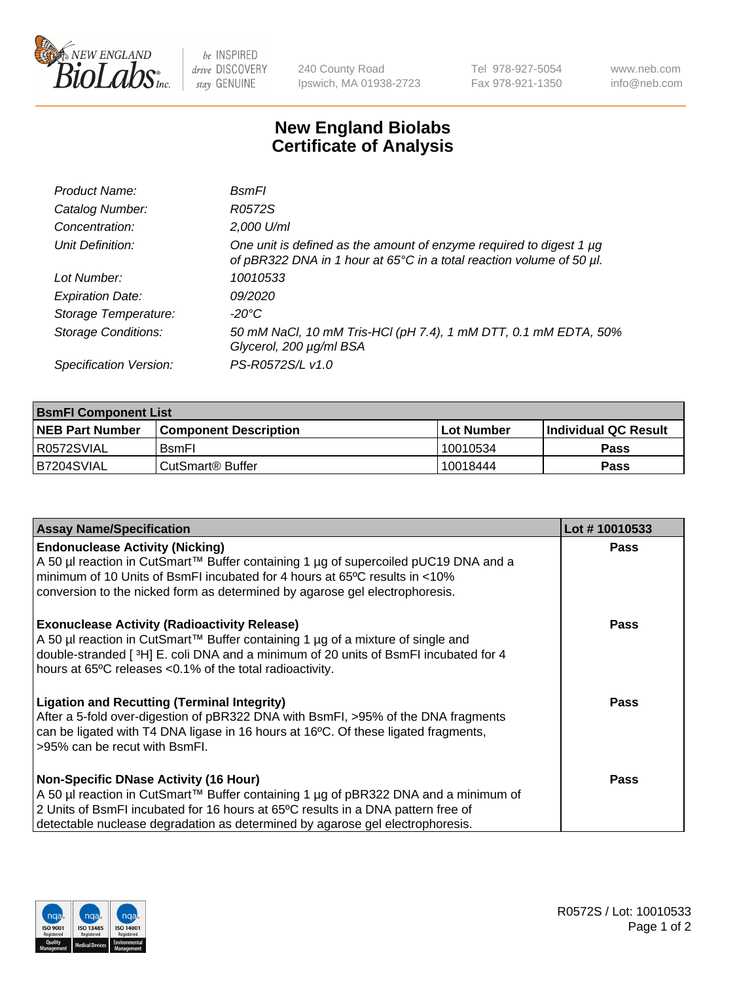

 $be$  INSPIRED drive DISCOVERY stay GENUINE

240 County Road Ipswich, MA 01938-2723 Tel 978-927-5054 Fax 978-921-1350 www.neb.com info@neb.com

## **New England Biolabs Certificate of Analysis**

| Product Name:              | <b>B</b> smFl                                                                                                                               |
|----------------------------|---------------------------------------------------------------------------------------------------------------------------------------------|
| Catalog Number:            | R0572S                                                                                                                                      |
| Concentration:             | 2,000 U/ml                                                                                                                                  |
| Unit Definition:           | One unit is defined as the amount of enzyme required to digest 1 µg<br>of pBR322 DNA in 1 hour at 65°C in a total reaction volume of 50 µl. |
| Lot Number:                | 10010533                                                                                                                                    |
| <b>Expiration Date:</b>    | 09/2020                                                                                                                                     |
| Storage Temperature:       | -20°C                                                                                                                                       |
| <b>Storage Conditions:</b> | 50 mM NaCl, 10 mM Tris-HCl (pH 7.4), 1 mM DTT, 0.1 mM EDTA, 50%<br>Glycerol, 200 µg/ml BSA                                                  |
| Specification Version:     | PS-R0572S/L v1.0                                                                                                                            |

| <b>BsmFI Component List</b> |                         |              |                             |  |
|-----------------------------|-------------------------|--------------|-----------------------------|--|
| <b>NEB Part Number</b>      | l Component Description | l Lot Number | <b>Individual QC Result</b> |  |
| I R0572SVIAL                | <b>B</b> smFI           | 10010534     | Pass                        |  |
| B7204SVIAL                  | l CutSmart® Buffer      | 10018444     | Pass                        |  |

| <b>Assay Name/Specification</b>                                                                                                                                                                                                                                                                          | Lot #10010533 |
|----------------------------------------------------------------------------------------------------------------------------------------------------------------------------------------------------------------------------------------------------------------------------------------------------------|---------------|
| <b>Endonuclease Activity (Nicking)</b><br>A 50 µl reaction in CutSmart™ Buffer containing 1 µg of supercoiled pUC19 DNA and a<br>minimum of 10 Units of BsmFI incubated for 4 hours at 65°C results in <10%<br>conversion to the nicked form as determined by agarose gel electrophoresis.               | <b>Pass</b>   |
| <b>Exonuclease Activity (Radioactivity Release)</b><br>A 50 µl reaction in CutSmart™ Buffer containing 1 µg of a mixture of single and<br>double-stranded [3H] E. coli DNA and a minimum of 20 units of BsmFI incubated for 4<br>hours at 65°C releases <0.1% of the total radioactivity.                | Pass          |
| <b>Ligation and Recutting (Terminal Integrity)</b><br>After a 5-fold over-digestion of pBR322 DNA with BsmFI, >95% of the DNA fragments<br>can be ligated with T4 DNA ligase in 16 hours at 16°C. Of these ligated fragments,<br>>95% can be recut with BsmFI.                                           | Pass          |
| <b>Non-Specific DNase Activity (16 Hour)</b><br>A 50 µl reaction in CutSmart™ Buffer containing 1 µg of pBR322 DNA and a minimum of<br>2 Units of BsmFI incubated for 16 hours at 65°C results in a DNA pattern free of<br>detectable nuclease degradation as determined by agarose gel electrophoresis. | Pass          |